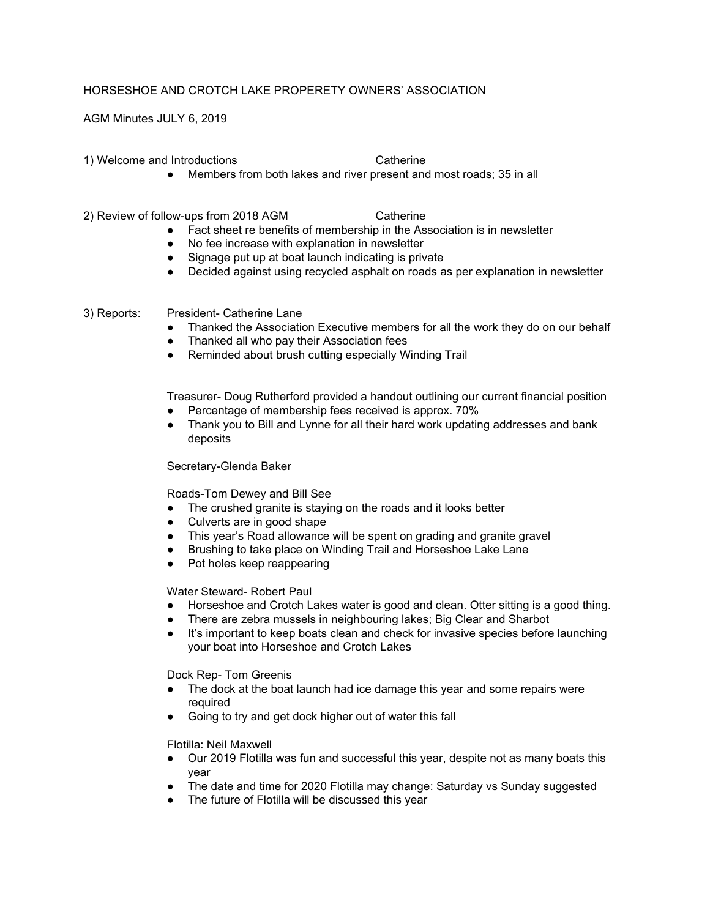## HORSESHOE AND CROTCH LAKE PROPERETY OWNERS' ASSOCIATION

AGM Minutes JULY 6, 2019

1) Welcome and Introductions Catherine

- 
- Members from both lakes and river present and most roads; 35 in all
- 2) Review of follow-ups from 2018 AGM Catherine
	- Fact sheet re benefits of membership in the Association is in newsletter
	- No fee increase with explanation in newsletter
	- Signage put up at boat launch indicating is private
	- Decided against using recycled asphalt on roads as per explanation in newsletter

3) Reports: President- Catherine Lane

- Thanked the Association Executive members for all the work they do on our behalf
- Thanked all who pay their Association fees
- Reminded about brush cutting especially Winding Trail

Treasurer- Doug Rutherford provided a handout outlining our current financial position

- Percentage of membership fees received is approx. 70%
- Thank you to Bill and Lynne for all their hard work updating addresses and bank deposits

Secretary-Glenda Baker

Roads-Tom Dewey and Bill See

- The crushed granite is staying on the roads and it looks better
- Culverts are in good shape
- This year's Road allowance will be spent on grading and granite gravel
- Brushing to take place on Winding Trail and Horseshoe Lake Lane
- Pot holes keep reappearing

Water Steward- Robert Paul

- Horseshoe and Crotch Lakes water is good and clean. Otter sitting is a good thing.
- There are zebra mussels in neighbouring lakes; Big Clear and Sharbot
- It's important to keep boats clean and check for invasive species before launching your boat into Horseshoe and Crotch Lakes

Dock Rep- Tom Greenis

- The dock at the boat launch had ice damage this year and some repairs were required
- Going to try and get dock higher out of water this fall

Flotilla: Neil Maxwell

- Our 2019 Flotilla was fun and successful this year, despite not as many boats this year
- The date and time for 2020 Flotilla may change: Saturday vs Sunday suggested
- The future of Flotilla will be discussed this year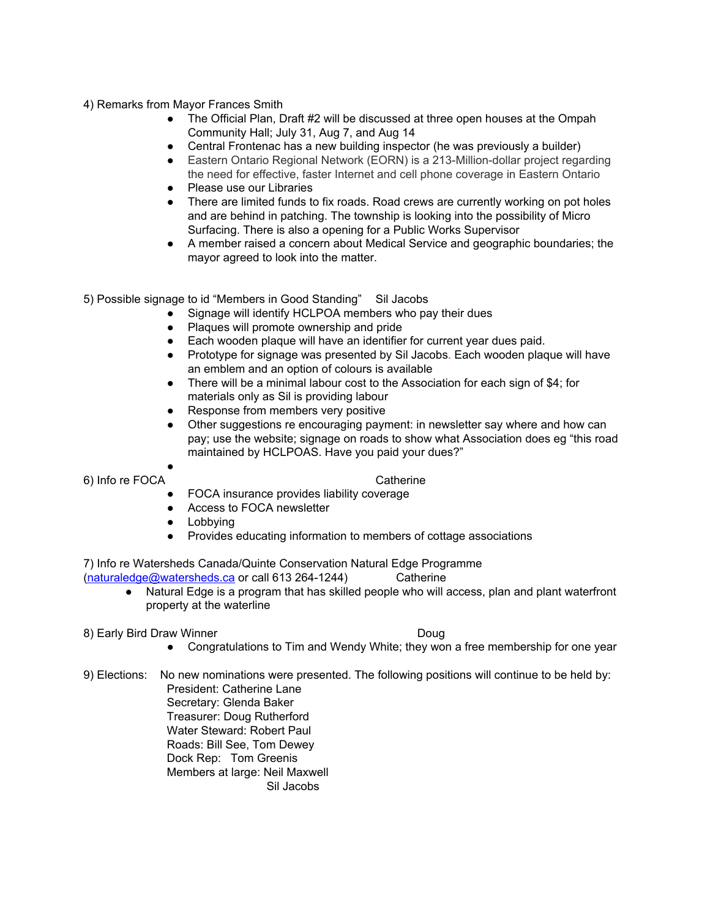4) Remarks from Mayor Frances Smith

- The Official Plan, Draft #2 will be discussed at three open houses at the Ompah Community Hall; July 31, Aug 7, and Aug 14
- Central Frontenac has a new building inspector (he was previously a builder)
- Eastern Ontario Regional Network (EORN) is a 213-Million-dollar project regarding the need for effective, faster Internet and cell phone coverage in Eastern Ontario
- Please use our Libraries
- There are limited funds to fix roads. Road crews are currently working on pot holes and are behind in patching. The township is looking into the possibility of Micro Surfacing. There is also a opening for a Public Works Supervisor
- A member raised a concern about Medical Service and geographic boundaries; the mayor agreed to look into the matter.

5) Possible signage to id "Members in Good Standing" Sil Jacobs

- Signage will identify HCLPOA members who pay their dues
- Plaques will promote ownership and pride
- Each wooden plaque will have an identifier for current year dues paid.
- Prototype for signage was presented by Sil Jacobs. Each wooden plaque will have an emblem and an option of colours is available
- There will be a minimal labour cost to the Association for each sign of \$4; for materials only as Sil is providing labour
- Response from members very positive
- Other suggestions re encouraging payment: in newsletter say where and how can pay; use the website; signage on roads to show what Association does eg "this road maintained by HCLPOAS. Have you paid your dues?"

● 6) Info re FOCA Catherine

- FOCA insurance provides liability coverage
- Access to FOCA newsletter
- Lobbying
- Provides educating information to members of cottage associations

7) Info re Watersheds Canada/Quinte Conservation Natural Edge Programme [\(naturaledge@watersheds.ca](mailto:naturaledge@watersheds.ca) or call 613 264-1244) Catherine

- Natural Edge is a program that has skilled people who will access, plan and plant waterfront property at the waterline
- 8) Early Bird Draw Winner **Douglass Communist Communist Communist Communist Communist Communist Communist Communist Communist Communist Communist Communist Communist Communist Communist Communist Communist Communist Commun**

- Congratulations to Tim and Wendy White; they won a free membership for one year
- 9) Elections: No new nominations were presented. The following positions will continue to be held by: President: Catherine Lane Secretary: Glenda Baker Treasurer: Doug Rutherford Water Steward: Robert Paul Roads: Bill See, Tom Dewey Dock Rep: Tom Greenis Members at large: Neil Maxwell Sil Jacobs